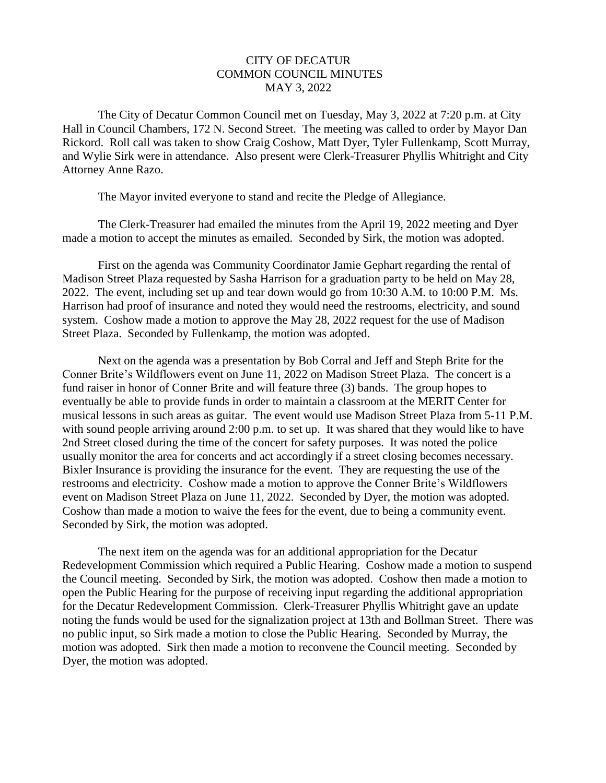## CITY OF DECATUR COMMON COUNCIL MINUTES MAY 3, 2022

 The City of Decatur Common Council met on Tuesday, May 3, 2022 at 7:20 p.m. at City Hall in Council Chambers, 172 N. Second Street. The meeting was called to order by Mayor Dan Rickord. Roll call was taken to show Craig Coshow, Matt Dyer, Tyler Fullenkamp, Scott Murray, and Wylie Sirk were in attendance. Also present were Clerk-Treasurer Phyllis Whitright and City Attorney Anne Razo.

The Mayor invited everyone to stand and recite the Pledge of Allegiance.

 The Clerk-Treasurer had emailed the minutes from the April 19, 2022 meeting and Dyer made a motion to accept the minutes as emailed. Seconded by Sirk, the motion was adopted.

 First on the agenda was Community Coordinator Jamie Gephart regarding the rental of Madison Street Plaza requested by Sasha Harrison for a graduation party to be held on May 28, 2022. The event, including set up and tear down would go from 10:30 A.M. to 10:00 P.M. Ms. Harrison had proof of insurance and noted they would need the restrooms, electricity, and sound system. Coshow made a motion to approve the May 28, 2022 request for the use of Madison Street Plaza. Seconded by Fullenkamp, the motion was adopted.

 Next on the agenda was a presentation by Bob Corral and Jeff and Steph Brite for the Conner Brite's Wildflowers event on June 11, 2022 on Madison Street Plaza. The concert is a fund raiser in honor of Conner Brite and will feature three (3) bands. The group hopes to eventually be able to provide funds in order to maintain a classroom at the MERIT Center for musical lessons in such areas as guitar. The event would use Madison Street Plaza from 5-11 P.M. with sound people arriving around 2:00 p.m. to set up. It was shared that they would like to have 2nd Street closed during the time of the concert for safety purposes. It was noted the police usually monitor the area for concerts and act accordingly if a street closing becomes necessary. Bixler Insurance is providing the insurance for the event. They are requesting the use of the restrooms and electricity. Coshow made a motion to approve the Conner Brite's Wildflowers event on Madison Street Plaza on June 11, 2022. Seconded by Dyer, the motion was adopted. Coshow than made a motion to waive the fees for the event, due to being a community event. Seconded by Sirk, the motion was adopted.

 The next item on the agenda was for an additional appropriation for the Decatur Redevelopment Commission which required a Public Hearing. Coshow made a motion to suspend the Council meeting. Seconded by Sirk, the motion was adopted. Coshow then made a motion to open the Public Hearing for the purpose of receiving input regarding the additional appropriation for the Decatur Redevelopment Commission. Clerk-Treasurer Phyllis Whitright gave an update noting the funds would be used for the signalization project at 13th and Bollman Street. There was no public input, so Sirk made a motion to close the Public Hearing. Seconded by Murray, the motion was adopted. Sirk then made a motion to reconvene the Council meeting. Seconded by Dyer, the motion was adopted.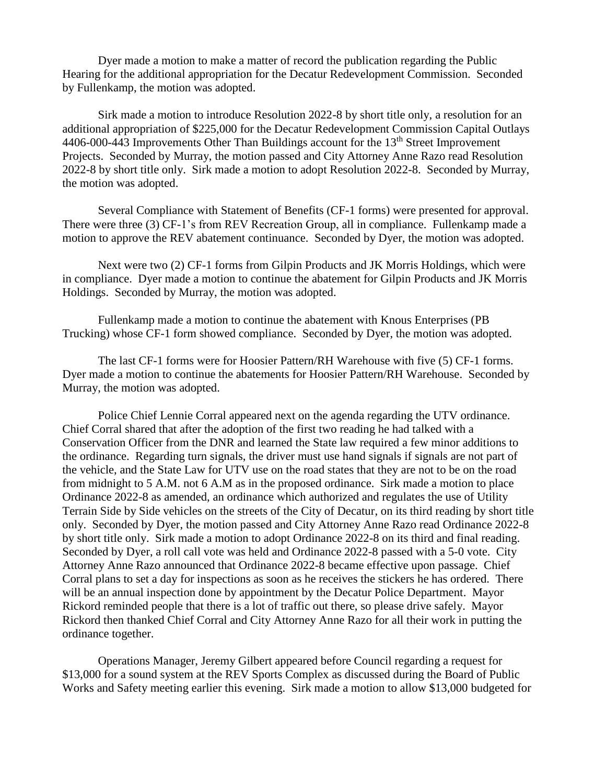Dyer made a motion to make a matter of record the publication regarding the Public Hearing for the additional appropriation for the Decatur Redevelopment Commission. Seconded by Fullenkamp, the motion was adopted.

 Sirk made a motion to introduce Resolution 2022-8 by short title only, a resolution for an additional appropriation of \$225,000 for the Decatur Redevelopment Commission Capital Outlays 4406-000-443 Improvements Other Than Buildings account for the  $13<sup>th</sup>$  Street Improvement Projects. Seconded by Murray, the motion passed and City Attorney Anne Razo read Resolution 2022-8 by short title only. Sirk made a motion to adopt Resolution 2022-8. Seconded by Murray, the motion was adopted.

 Several Compliance with Statement of Benefits (CF-1 forms) were presented for approval. There were three (3) CF-1's from REV Recreation Group, all in compliance. Fullenkamp made a motion to approve the REV abatement continuance. Seconded by Dyer, the motion was adopted.

 Next were two (2) CF-1 forms from Gilpin Products and JK Morris Holdings, which were in compliance. Dyer made a motion to continue the abatement for Gilpin Products and JK Morris Holdings. Seconded by Murray, the motion was adopted.

 Fullenkamp made a motion to continue the abatement with Knous Enterprises (PB Trucking) whose CF-1 form showed compliance. Seconded by Dyer, the motion was adopted.

 The last CF-1 forms were for Hoosier Pattern/RH Warehouse with five (5) CF-1 forms. Dyer made a motion to continue the abatements for Hoosier Pattern/RH Warehouse. Seconded by Murray, the motion was adopted.

 Police Chief Lennie Corral appeared next on the agenda regarding the UTV ordinance. Chief Corral shared that after the adoption of the first two reading he had talked with a Conservation Officer from the DNR and learned the State law required a few minor additions to the ordinance. Regarding turn signals, the driver must use hand signals if signals are not part of the vehicle, and the State Law for UTV use on the road states that they are not to be on the road from midnight to 5 A.M. not 6 A.M as in the proposed ordinance. Sirk made a motion to place Ordinance 2022-8 as amended, an ordinance which authorized and regulates the use of Utility Terrain Side by Side vehicles on the streets of the City of Decatur, on its third reading by short title only. Seconded by Dyer, the motion passed and City Attorney Anne Razo read Ordinance 2022-8 by short title only. Sirk made a motion to adopt Ordinance 2022-8 on its third and final reading. Seconded by Dyer, a roll call vote was held and Ordinance 2022-8 passed with a 5-0 vote. City Attorney Anne Razo announced that Ordinance 2022-8 became effective upon passage. Chief Corral plans to set a day for inspections as soon as he receives the stickers he has ordered. There will be an annual inspection done by appointment by the Decatur Police Department. Mayor Rickord reminded people that there is a lot of traffic out there, so please drive safely. Mayor Rickord then thanked Chief Corral and City Attorney Anne Razo for all their work in putting the ordinance together.

 Operations Manager, Jeremy Gilbert appeared before Council regarding a request for \$13,000 for a sound system at the REV Sports Complex as discussed during the Board of Public Works and Safety meeting earlier this evening. Sirk made a motion to allow \$13,000 budgeted for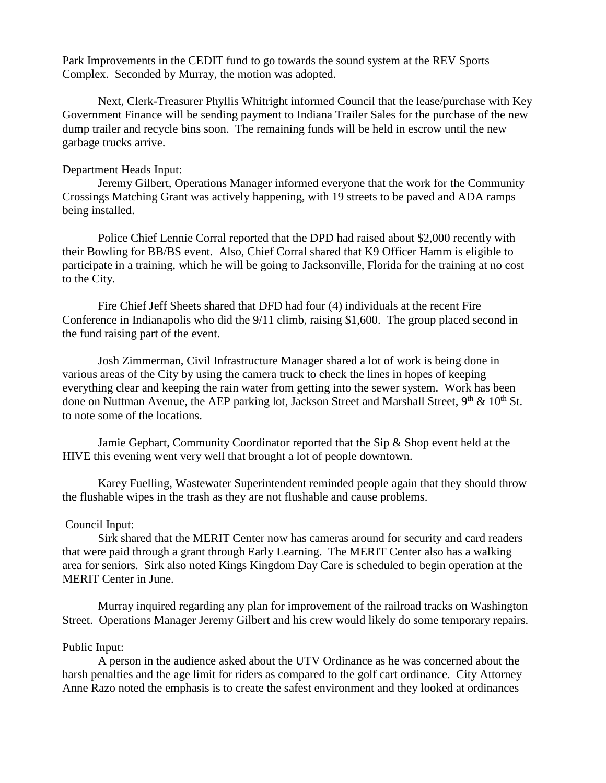Park Improvements in the CEDIT fund to go towards the sound system at the REV Sports Complex. Seconded by Murray, the motion was adopted.

 Next, Clerk-Treasurer Phyllis Whitright informed Council that the lease/purchase with Key Government Finance will be sending payment to Indiana Trailer Sales for the purchase of the new dump trailer and recycle bins soon. The remaining funds will be held in escrow until the new garbage trucks arrive.

## Department Heads Input:

 Jeremy Gilbert, Operations Manager informed everyone that the work for the Community Crossings Matching Grant was actively happening, with 19 streets to be paved and ADA ramps being installed.

 Police Chief Lennie Corral reported that the DPD had raised about \$2,000 recently with their Bowling for BB/BS event. Also, Chief Corral shared that K9 Officer Hamm is eligible to participate in a training, which he will be going to Jacksonville, Florida for the training at no cost to the City.

 Fire Chief Jeff Sheets shared that DFD had four (4) individuals at the recent Fire Conference in Indianapolis who did the 9/11 climb, raising \$1,600. The group placed second in the fund raising part of the event.

 Josh Zimmerman, Civil Infrastructure Manager shared a lot of work is being done in various areas of the City by using the camera truck to check the lines in hopes of keeping everything clear and keeping the rain water from getting into the sewer system. Work has been done on Nuttman Avenue, the AEP parking lot, Jackson Street and Marshall Street,  $9<sup>th</sup>$  &  $10<sup>th</sup>$  St. to note some of the locations.

Jamie Gephart, Community Coordinator reported that the Sip & Shop event held at the HIVE this evening went very well that brought a lot of people downtown.

 Karey Fuelling, Wastewater Superintendent reminded people again that they should throw the flushable wipes in the trash as they are not flushable and cause problems.

## Council Input:

 Sirk shared that the MERIT Center now has cameras around for security and card readers that were paid through a grant through Early Learning. The MERIT Center also has a walking area for seniors. Sirk also noted Kings Kingdom Day Care is scheduled to begin operation at the MERIT Center in June.

 Murray inquired regarding any plan for improvement of the railroad tracks on Washington Street. Operations Manager Jeremy Gilbert and his crew would likely do some temporary repairs.

## Public Input:

 A person in the audience asked about the UTV Ordinance as he was concerned about the harsh penalties and the age limit for riders as compared to the golf cart ordinance. City Attorney Anne Razo noted the emphasis is to create the safest environment and they looked at ordinances